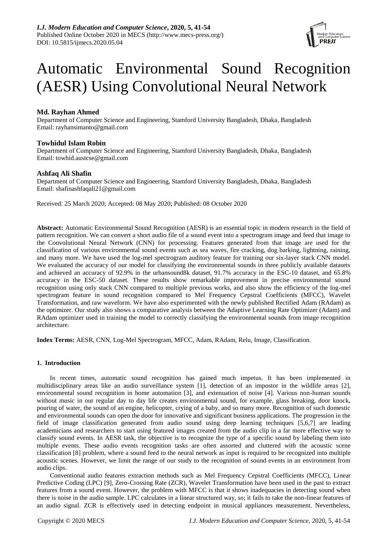

# Automatic Environmental Sound Recognition (AESR) Using Convolutional Neural Network

# **Md. Rayhan Ahmed**

Department of Computer Science and Engineering, Stamford University Bangladesh, Dhaka, Bangladesh Email: [rayhansimanto@gmail.com](mailto:rayhansimanto@gmail.com)

# **Towhidul Islam Robin**

Department of Computer Science and Engineering, Stamford University Bangladesh, Dhaka, Bangladesh Email: [towhid.austcse@gmail.com](mailto:towhid.austcse@gmail.com)

# **Ashfaq Ali Shafin**

Department of Computer Science and Engineering, Stamford University Bangladesh, Dhaka, Bangladesh Email: [shafinashfaqali21@gmail.com](mailto:shafinashfaqali21@gmail.com)

Received: 25 March 2020; Accepted: 08 May 2020; Published: 08 October 2020

**Abstract:** Automatic Environmental Sound Recognition (AESR) is an essential topic in modern research in the field of pattern recognition. We can convert a short audio file of a sound event into a spectrogram image and feed that image to the Convolutional Neural Network (CNN) for processing. Features generated from that image are used for the classification of various environmental sound events such as sea waves, fire cracking, dog barking, lightning, raining, and many more. We have used the log-mel spectrogram auditory feature for training our six-layer stack CNN model. We evaluated the accuracy of our model for classifying the environmental sounds in three publicly available datasets and achieved an accuracy of 92.9% in the urbansound8k dataset, 91.7% accuracy in the ESC-10 dataset, and 65.8% accuracy in the ESC-50 dataset. These results show remarkable improvement in precise environmental sound recognition using only stack CNN compared to multiple previous works, and also show the efficiency of the log-mel spectrogram feature in sound recognition compared to Mel Frequency Cepstral Coefficients (MFCC), Wavelet Transformation, and raw waveform. We have also experimented with the newly published Rectified Adam (RAdam) as the optimizer. Our study also shows a comparative analysis between the Adaptive Learning Rate Optimizer (Adam) and RAdam optimizer used in training the model to correctly classifying the environmental sounds from image recognition architecture.

**Index Terms:** AESR, CNN, Log-Mel Spectrogram, MFCC, Adam, RAdam, Relu, Image, Classification.

# **1. Introduction**

In recent times, automatic sound recognition has gained much impetus. It has been implemented in multidisciplinary areas like an audio surveillance system [1], detection of an impostor in the wildlife areas [2], environmental sound recognition in home automation [3], and extenuation of noise [4]. Various non-human sounds without music in our regular day to day life creates environmental sound, for example, glass breaking, door knock, pouring of water, the sound of an engine, helicopter, crying of a baby, and so many more. Recognition of such domestic and environmental sounds can open the door for innovative and significant business applications. The progression in the field of image classification generated from audio sound using deep learning techniques [5,6,7] are leading academicians and researchers to start using featured images created from the audio clip in a far more effective way to classify sound events. In AESR task, the objective is to recognize the type of a specific sound by labeling them into multiple events. These audio events recognition tasks are often assorted and cluttered with the acoustic scene classification [8] problem, where a sound feed to the neural network as input is required to be recognized into multiple acoustic scenes. However, we limit the range of our study to the recognition of sound events in an environment from audio clips.

Conventional audio features extraction methods such as Mel Frequency Cepstral Coefficients (MFCC), Linear Predictive Coding (LPC) [9], Zero-Crossing Rate (ZCR), Wavelet Transformation have been used in the past to extract features from a sound event. However, the problem with MFCC is that it shows inadequacies in detecting sound when there is noise in the audio sample. LPC calculates in a linear structured way, so; it fails to take the non-linear features of an audio signal. ZCR is effectively used in detecting endpoint in musical appliances measurement. Nevertheless,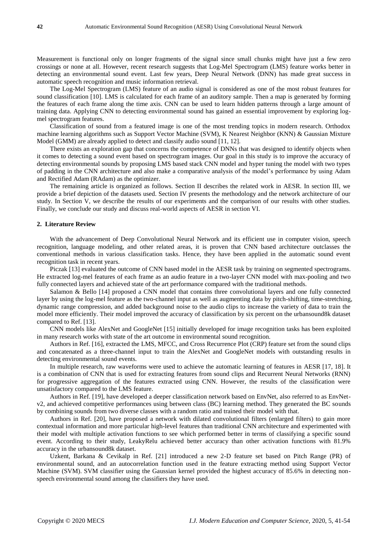Measurement is functional only on longer fragments of the signal since small chunks might have just a few zero crossings or none at all. However, recent research suggests that Log-Mel Spectrogram (LMS) feature works better in detecting an environmental sound event. Last few years, Deep Neural Network (DNN) has made great success in automatic speech recognition and music information retrieval.

The Log-Mel Spectrogram (LMS) feature of an audio signal is considered as one of the most robust features for sound classification [10]. LMS is calculated for each frame of an auditory sample. Then a map is generated by forming the features of each frame along the time axis. CNN can be used to learn hidden patterns through a large amount of training data. Applying CNN to detecting environmental sound has gained an essential improvement by exploring logmel spectrogram features.

Classification of sound from a featured image is one of the most trending topics in modern research. Orthodox machine learning algorithms such as Support Vector Machine (SVM), K Nearest Neighbor (KNN) & Gaussian Mixture Model (GMM) are already applied to detect and classify audio sound [11, 12].

There exists an exploration gap that concerns the competence of DNNs that was designed to identify objects when it comes to detecting a sound event based on spectrogram images. Our goal in this study is to improve the accuracy of detecting environmental sounds by proposing LMS based stack CNN model and hyper tuning the model with two types of padding in the CNN architecture and also make a comparative analysis of the model's performance by using Adam and Rectified Adam (RAdam) as the optimizer.

The remaining article is organized as follows. Section II describes the related work in AESR. In section III, we provide a brief depiction of the datasets used. Section IV presents the methodology and the network architecture of our study. In Section V, we describe the results of our experiments and the comparison of our results with other studies. Finally, we conclude our study and discuss real-world aspects of AESR in section VI.

## **2. Literature Review**

With the advancement of Deep Convolutional Neural Network and its efficient use in computer vision, speech recognition, language modeling, and other related areas, it is proven that CNN based architecture outclasses the conventional methods in various classification tasks. Hence, they have been applied in the automatic sound event recognition task in recent years.

Piczak [13] evaluated the outcome of CNN based model in the AESR task by training on segmented spectrograms. He extracted log-mel features of each frame as an audio feature in a two-layer CNN model with max-pooling and two fully connected layers and achieved state of the art performance compared with the traditional methods.

Salamon & Bello [14] proposed a CNN model that contains three convolutional layers and one fully connected layer by using the log-mel feature as the two-channel input as well as augmenting data by pitch-shifting, time-stretching, dynamic range compression, and added background noise to the audio clips to increase the variety of data to train the model more efficiently. Their model improved the accuracy of classification by six percent on the urbansound8k dataset compared to Ref. [13].

CNN models like AlexNet and GoogleNet [15] initially developed for image recognition tasks has been exploited in many research works with state of the art outcome in environmental sound recognition.

Authors in Ref. [16], extracted the LMS, MFCC, and Cross Recurrence Plot (CRP) feature set from the sound clips and concatenated as a three-channel input to train the AlexNet and GoogleNet models with outstanding results in detecting environmental sound events.

In multiple research, raw waveforms were used to achieve the automatic learning of features in AESR [17, 18]. It is a combination of CNN that is used for extracting features from sound clips and Recurrent Neural Networks (RNN) for progressive aggregation of the features extracted using CNN. However, the results of the classification were unsatisfactory compared to the LMS feature.

Authors in Ref. [19], have developed a deeper classification network based on EnvNet, also referred to as EnvNetv2, and achieved competitive performances using between class (BC) learning method. They generated the BC sounds by combining sounds from two diverse classes with a random ratio and trained their model with that.

Authors in Ref. [20], have proposed a network with dilated convolutional filters (enlarged filters) to gain more contextual information and more particular high-level features than traditional CNN architecture and experimented with their model with multiple activation functions to see which performed better in terms of classifying a specific sound event. According to their study, LeakyRelu achieved better accuracy than other activation functions with 81.9% accuracy in the urbansound8k dataset.

Uzkent, Barkana & Cevikalp in Ref. [21] introduced a new 2-D feature set based on Pitch Range (PR) of environmental sound, and an autocorrelation function used in the feature extracting method using Support Vector Machine (SVM). SVM classifier using the Gaussian kernel provided the highest accuracy of 85.6% in detecting nonspeech environmental sound among the classifiers they have used.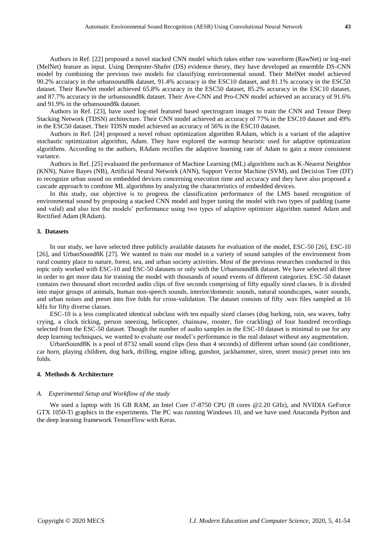Authors in Ref. [22] proposed a novel stacked CNN model which takes either raw waveform (RawNet) or log-mel (MelNet) feature as input. Using Dempster-Shafer (DS) evidence theory, they have developed an ensemble DS-CNN model by combining the previous two models for classifying environmental sound. Their MelNet model achieved 90.2% accuracy in the urbansound8k dataset, 91.4% accuracy in the ESC10 dataset, and 81.1% accuracy in the ESC50 dataset. Their RawNet model achieved 65.8% accuracy in the ESC50 dataset, 85.2% accuracy in the ESC10 dataset, and 87.7% accuracy in the urbansound8k dataset. Their Ave-CNN and Pro-CNN model achieved an accuracy of 91.6% and 91.9% in the urbansound8k dataset.

Authors in Ref. [23], have used log-mel featured based spectrogram images to train the CNN and Tensor Deep Stacking Network (TDSN) architecture. Their CNN model achieved an accuracy of 77% in the ESC10 dataset and 49% in the ESC50 dataset. Their TDSN model achieved an accuracy of 56% in the ESC10 dataset.

Authors in Ref. [24] proposed a novel robust optimization algorithm RAdam, which is a variant of the adaptive stochastic optimization algorithm, Adam. They have explored the warmup heuristic used for adaptive optimization algorithms. According to the authors, RAdam rectifies the adaptive learning rate of Adam to gain a more consistent variance.

Authors in Ref. [25] evaluated the performance of Machine Learning (ML) algorithms such as K-Nearest Neighbor (KNN), Naive Bayes (NB), Artificial Neural Network (ANN), Support Vector Machine (SVM), and Decision Tree (DT) to recognize urban sound on embedded devices concerning execution time and accuracy and they have also proposed a cascade approach to combine ML algorithms by analyzing the characteristics of embedded devices.

In this study, our objective is to progress the classification performance of the LMS based recognition of environmental sound by proposing a stacked CNN model and hyper tuning the model with two types of padding (same and valid) and also test the models' performance using two types of adaptive optimizer algorithm named Adam and Rectified Adam (RAdam).

## **3. Datasets**

In our study, we have selected three publicly available datasets for evaluation of the model, ESC-50 [26], ESC-10 [26], and UrbanSound8K [27]. We wanted to train our model in a variety of sound samples of the environment from rural country place to nature, forest, sea, and urban society activities. Most of the previous researches conducted in this topic only worked with ESC-10 and ESC-50 datasets or only with the Urbansound8k dataset. We have selected all three in order to get more data for training the model with thousands of sound events of different categories. ESC-50 dataset contains two thousand short recorded audio clips of five seconds comprising of fifty equally sized classes. It is divided into major groups of animals, human non-speech sounds, interior/domestic sounds, natural soundscapes, water sounds, and urban noises and preset into five folds for cross-validation. The dataset consists of fifty .wav files sampled at 16 kHz for fifty diverse classes.

ESC-10 is a less complicated identical subclass with ten equally sized classes (dog barking, rain, sea waves, baby crying, a clock ticking, person sneezing, helicopter, chainsaw, rooster, fire crackling) of four hundred recordings selected from the ESC-50 dataset. Though the number of audio samples in the ESC-10 dataset is minimal to use for any deep learning techniques, we wanted to evaluate our model's performance in the real dataset without any augmentation.

UrbanSound8K is a pool of 8732 small sound clips (less than 4 seconds) of different urban sound (air conditioner, car horn, playing children, dog bark, drilling, engine idling, gunshot, jackhammer, siren, street music) preset into ten folds.

## **4. Methods & Architecture**

#### *A. Experimental Setup and Workflow of the study*

We used a laptop with 16 GB RAM, an Intel Core i7-8750 CPU (8 cores @2.20 GHz), and NVIDIA GeForce GTX 1050-Ti graphics in the experiments. The PC was running Windows 10, and we have used Anaconda Python and the deep learning framework TensorFlow with Keras.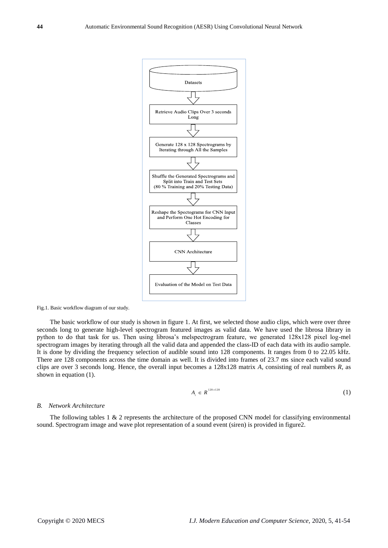

Fig.1. Basic workflow diagram of our study.

The basic workflow of our study is shown in figure 1. At first, we selected those audio clips, which were over three seconds long to generate high-level spectrogram featured images as valid data. We have used the librosa library in python to do that task for us. Then using librosa's melspectrogram feature, we generated 128x128 pixel log-mel spectrogram images by iterating through all the valid data and appended the class-ID of each data with its audio sample. It is done by dividing the frequency selection of audible sound into 128 components. It ranges from 0 to 22.05 kHz. There are 128 components across the time domain as well. It is divided into frames of 23.7 ms since each valid sound clips are over 3 seconds long. Hence, the overall input becomes a 128x128 matrix *A,* consisting of real numbers *R,* as shown in equation (1).

$$
A_i \in R^{128 \times 128} \tag{1}
$$

## *B. Network Architecture*

The following tables 1 & 2 represents the architecture of the proposed CNN model for classifying environmental sound. Spectrogram image and wave plot representation of a sound event (siren) is provided in figure2.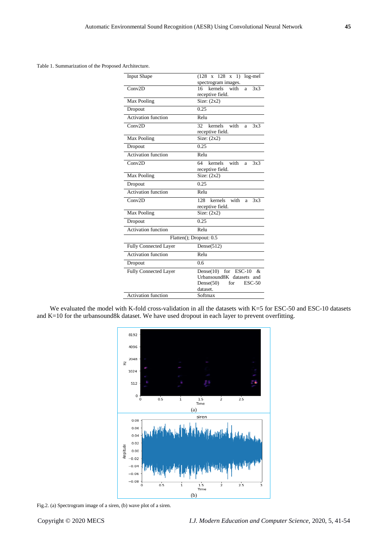Table 1. Summarization of the Proposed Architecture.

| <b>Input Shape</b>           | $(128 \times 128 \times 1)$<br>$log-mel$<br>spectrogram images. |  |
|------------------------------|-----------------------------------------------------------------|--|
| Conv2D                       | kernels<br>with<br>16<br>$3x\overline{3}$<br>a                  |  |
|                              | receptive field.                                                |  |
| Max Pooling                  | Size: $(2x2)$                                                   |  |
| Dropout                      | 0.25                                                            |  |
| Activation function          | Relu                                                            |  |
| Conv2D                       | 32<br>kernels with<br>3x3<br>a                                  |  |
|                              | receptive field.                                                |  |
| Max Pooling                  | Size: $(2x2)$                                                   |  |
| Dropout                      | 0.25                                                            |  |
| <b>Activation function</b>   | Relu                                                            |  |
| Conv2D                       | 64<br>with<br>kernels<br>3x3<br>a                               |  |
|                              | receptive field.                                                |  |
| Max Pooling                  | Size: $(2x2)$                                                   |  |
| Dropout                      | 0.25                                                            |  |
| Activation function          | Relu                                                            |  |
| Conv2D                       | 128<br>with<br>kernels<br>3x3<br>a                              |  |
|                              | receptive field.                                                |  |
| Max Pooling                  | $\overline{\text{Size}}$ : (2x2)                                |  |
| Dropout                      | 0.25                                                            |  |
| Activation function          | Relu                                                            |  |
|                              | Flatten(); Dropout: 0.5                                         |  |
| <b>Fully Connected Layer</b> | Dense $(512)$                                                   |  |
| <b>Activation function</b>   | Relu                                                            |  |
| Dropout                      | 0.6                                                             |  |
| <b>Fully Connected Layer</b> | for $ESC-10$<br>Dense(10)<br>&                                  |  |
|                              | Urbansound8K datasets and                                       |  |
|                              | Dense $(50)$<br>for<br>$ESC-50$                                 |  |
|                              | dataset.                                                        |  |
| <b>Activation function</b>   | Softmax                                                         |  |

We evaluated the model with K-fold cross-validation in all the datasets with K=5 for ESC-50 and ESC-10 datasets and K=10 for the urbansound8k dataset. We have used dropout in each layer to prevent overfitting.



Fig.2. (a) Spectrogram image of a siren, (b) wave plot of a siren.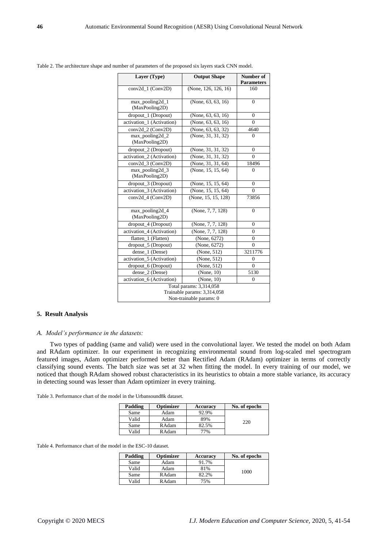| Layer (Type)                | <b>Output Shape</b>  | Number of<br><b>Parameters</b> |
|-----------------------------|----------------------|--------------------------------|
| conv2d 1 (Conv2D)           | (None, 126, 126, 16) | 160                            |
|                             |                      |                                |
| $max\_pooling2d_1$          | (None, 63, 63, 16)   | $\Omega$                       |
| (MaxPooling2D)              |                      |                                |
| dropout_1 (Dropout)         | (None, 63, 63, 16)   | 0                              |
| activation_1 (Activation)   | (None, 63, 63, 16)   | $\Omega$                       |
| conv2d_2 (Conv2D)           | (None, 63, 63, 32)   | 4640                           |
| max_pooling2d_2             | (None, 31, 31, 32)   | 0                              |
| (MaxPooling2D)              |                      |                                |
| dropout_2 (Dropout)         | (None, 31, 31, 32)   | $\theta$                       |
| activation_2 (Activation)   | (None, 31, 31, 32)   | 0                              |
| conv2d_3 (Conv2D)           | (None, 31, 31, 64)   | 18496                          |
| $max\_pooling2d_3$          | (None, 15, 15, 64)   | $\theta$                       |
| (MaxPooling2D)              |                      |                                |
| dropout_3 (Dropout)         | (None, 15, 15, 64)   | $\theta$                       |
| activation_3 (Activation)   | (None, 15, 15, 64)   | $\theta$                       |
| $conv2d$ 4 (Conv2D)         | (None, 15, 15, 128)  | 73856                          |
|                             |                      |                                |
| max_pooling2d_4             | (None, 7, 7, 128)    | $\theta$                       |
| (MaxPooling2D)              |                      |                                |
| dropout_4 (Dropout)         | (None, 7, 7, 128)    | 0                              |
| activation_4 (Activation)   | (None, 7, 7, 128)    | $\theta$                       |
| flatten_1 (Flatten)         | (None, 6272)         | $\overline{0}$                 |
| dropout_5 (Dropout)         | (None, 6272)         | $\Omega$                       |
| dense_1 (Dense)             | (None, 512)          | 3211776                        |
| activation_5 (Activation)   | (None, 512)          | $\Omega$                       |
| dropout_6 (Dropout)         | (None, 512)          | 0                              |
| dense_2 (Dense)             | (None, 10)           | 5130                           |
| activation_6 (Activation)   | (None, 10)           | $\theta$                       |
| Total params: 3,314,058     |                      |                                |
| Trainable params: 3,314,058 |                      |                                |
| Non-trainable params: 0     |                      |                                |

Table 2. The architecture shape and number of parameters of the proposed six layers stack CNN model.

## **5. Result Analysis**

# *A. Model's performance in the datasets:*

Two types of padding (same and valid) were used in the convolutional layer. We tested the model on both Adam and RAdam optimizer. In our experiment in recognizing environmental sound from log-scaled mel spectrogram featured images, Adam optimizer performed better than Rectified Adam (RAdam) optimizer in terms of correctly classifying sound events. The batch size was set at 32 when fitting the model. In every training of our model, we noticed that though RAdam showed robust characteristics in its heuristics to obtain a more stable variance, its accuracy in detecting sound was lesser than Adam optimizer in every training.

Table 3. Performance chart of the model in the Urbansound8k dataset.

| Padding | Optimizer    | Accuracy | No. of epochs |
|---------|--------------|----------|---------------|
| Same    | Adam         | 92.9%    |               |
| Valid   | Adam         | 89%      | 220           |
| Same    | <b>RAdam</b> | 82.5%    |               |
| Valid   | <b>RAdam</b> | 77%      |               |

Table 4. Performance chart of the model in the ESC-10 dataset.

| Padding | Optimizer    | <b>Accuracy</b> | No. of epochs |
|---------|--------------|-----------------|---------------|
| Same    | Adam         | 91.7%           |               |
| Valid   | Adam         | 81%             | 1000          |
| Same    | RAdam        | 32.2%           |               |
| Valid   | <b>RAdam</b> | 75%             |               |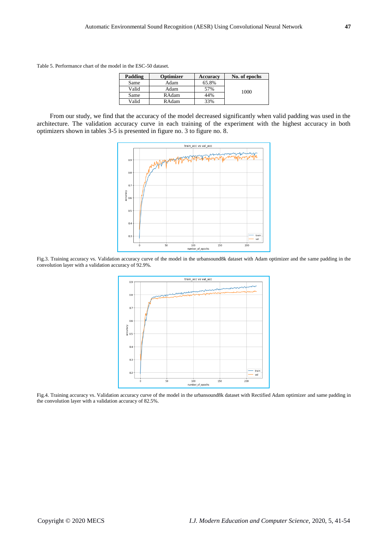Table 5. Performance chart of the model in the ESC-50 dataset.

| Padding | Optimizer    | <b>Accuracy</b> | No. of epochs |
|---------|--------------|-----------------|---------------|
| Same    | Adam         | 65.8%           |               |
| Valid   | Adam         | 57%             | 1000          |
| Same    | RAdam        | 44%             |               |
| Valid   | <b>RAdam</b> | 33%             |               |

From our study, we find that the accuracy of the model decreased significantly when valid padding was used in the architecture. The validation accuracy curve in each training of the experiment with the highest accuracy in both optimizers shown in tables 3-5 is presented in figure no. 3 to figure no. 8.



Fig.3. Training accuracy vs. Validation accuracy curve of the model in the urbansound8k dataset with Adam optimizer and the same padding in the convolution layer with a validation accuracy of 92.9%.



Fig.4. Training accuracy vs. Validation accuracy curve of the model in the urbansound8k dataset with Rectified Adam optimizer and same padding in the convolution layer with a validation accuracy of 82.5%.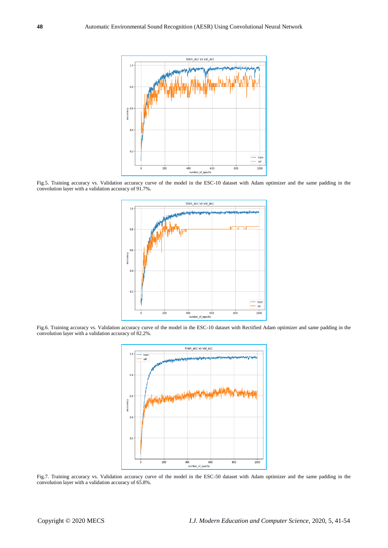

Fig.5. Training accuracy vs. Validation accuracy curve of the model in the ESC-10 dataset with Adam optimizer and the same padding in the convolution layer with a validation accuracy of 91.7%.



Fig.6. Training accuracy vs. Validation accuracy curve of the model in the ESC-10 dataset with Rectified Adam optimizer and same padding in the convolution layer with a validation accuracy of 82.2%.



Fig.7. Training accuracy vs. Validation accuracy curve of the model in the ESC-50 dataset with Adam optimizer and the same padding in the convolution layer with a validation accuracy of 65.8%.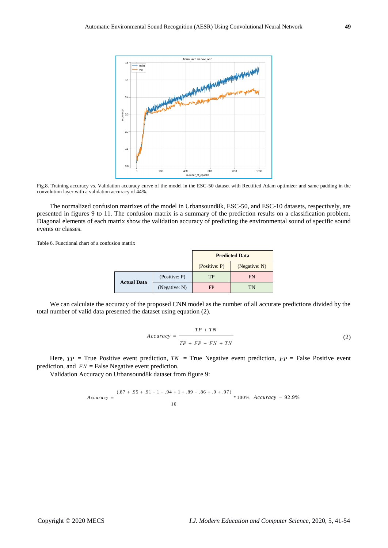

Fig.8. Training accuracy vs. Validation accuracy curve of the model in the ESC-50 dataset with Rectified Adam optimizer and same padding in the convolution layer with a validation accuracy of 44%.

The normalized confusion matrixes of the model in Urbansound8k, ESC-50, and ESC-10 datasets, respectively, are presented in figures 9 to 11. The confusion matrix is a summary of the prediction results on a classification problem. Diagonal elements of each matrix show the validation accuracy of predicting the environmental sound of specific sound events or classes.

Table 6. Functional chart of a confusion matrix

|                    |               | <b>Predicted Data</b> |               |
|--------------------|---------------|-----------------------|---------------|
|                    |               | (Positive: P)         | (Negative: N) |
|                    | (Positive: P) | TP                    | <b>FN</b>     |
| <b>Actual Data</b> | (Negative: N) | FP                    | TN            |

We can calculate the accuracy of the proposed CNN model as the number of all accurate predictions divided by the total number of valid data presented the dataset using equation (2).

$$
Accuracy = \frac{TP + TN}{TP + FP + FN + TN}
$$
 (2)

Here,  $TP = True$  Positive event prediction,  $TN = True$  Negative event prediction,  $FP = False$  Positive event prediction, and  $FN$  = False Negative event prediction.

Validation Accuracy on Urbansound8k dataset from figure 9:

$$
Accuracy = \frac{(.87 + .95 + .91 + 1 + .94 + 1 + .89 + .86 + .9 + .97)}{10} * 100\% \ Accuracy = 92.9\%
$$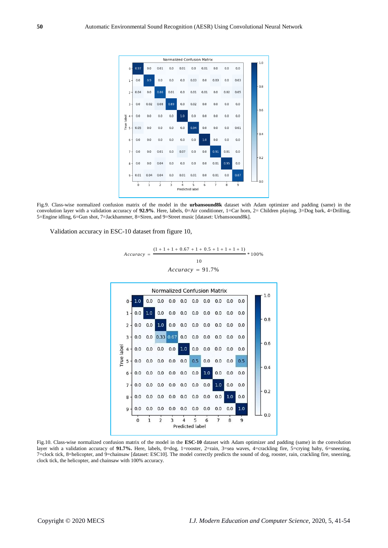

Fig.9. Class-wise normalized confusion matrix of the model in the **urbansound8k** dataset with Adam optimizer and padding (same) in the convolution layer with a validation accuracy of **92.9%**. Here, labels, 0=Air conditioner, 1=Car horn, 2= Children playing, 3=Dog bark, 4=Drilling, 5=Engine idling, 6=Gun shot, 7=Jackhammer, 8=Siren, and 9=Street music [dataset: Urbansoound8k].

Validation accuracy in ESC-10 dataset from figure 10,

$$
Accuracy = \frac{(1+1+1+0.67+1+0.5+1+1+1+1)}{10} * 100\%
$$
  
Accuracy = 91.7%



Fig.10. Class-wise normalized confusion matrix of the model in the **ESC-10** dataset with Adam optimizer and padding (same) in the convolution layer with a validation accuracy of 91.7%. Here, labels, 0=dog, 1=rooster, 2=rain, 3=sea waves, 4=crackling fire, 5=crying baby, 6=sneezing, 7=clock tick, 8=helicopter, and 9=chainsaw [dataset: ESC10]. The model correctly predicts the sound of dog, rooster, rain, crackling fire, sneezing, clock tick, the helicopter, and chainsaw with 100% accuracy.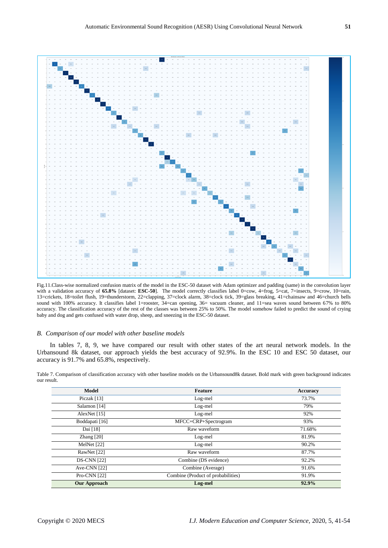

Fig.11.Class-wise normalized confusion matrix of the model in the ESC-50 dataset with Adam optimizer and padding (same) in the convolution layer with a validation accuracy of 65.8% [dataset: **ESC-50**]. The model correctly classifies label 0=cow, 4=frog, 5=cat, 7=insects, 9=crow, 10=rain, 13=crickets, 18=toilet flush, 19=thunderstorm, 22=clapping, 37=clock alarm, 38=clock tick, 39=glass breaking, 41=chainsaw and 46=church bells sound with 100% accuracy. It classifies label 1=rooster, 34=can opening, 36= vacuum cleaner, and 11=sea waves sound between 67% to 80% accuracy. The classification accuracy of the rest of the classes was between 25% to 50%. The model somehow failed to predict the sound of crying baby and dog and gets confused with water drop, sheep, and sneezing in the ESC-50 dataset.

## *B. Comparison of our model with other baseline models*

In tables 7, 8, 9, we have compared our result with other states of the art neural network models. In the Urbansound 8k dataset, our approach yields the best accuracy of 92.9%. In the ESC 10 and ESC 50 dataset, our accuracy is 91.7% and 65.8%, respectively.

Table 7. Comparison of classification accuracy with other baseline models on the Urbansound8k dataset. Bold mark with green background indicates our result.

| <b>Model</b>        | <b>Feature</b>                     | Accuracy |
|---------------------|------------------------------------|----------|
| Piczak [13]         | Log-mel                            | 73.7%    |
| Salamon [14]        | Log-mel                            | 79%      |
| AlexNet [15]        | Log-mel                            | 92%      |
| Boddapati [16]      | MFCC+CRP+Spectrogram               | 93%      |
| Dai [18]            | Raw waveform                       | 71.68%   |
| Zhang $[20]$        | Log-mel                            | 81.9%    |
| MelNet [22]         | Log-mel                            | 90.2%    |
| RawNet [22]         | Raw waveform                       | 87.7%    |
| <b>DS-CNN [22]</b>  | Combine (DS evidence)              | 92.2%    |
| Ave-CNN $[22]$      | Combine (Average)                  | 91.6%    |
| Pro-CNN [22]        | Combine (Product of probabilities) | 91.9%    |
| <b>Our Approach</b> | Log-mel                            | 92.9%    |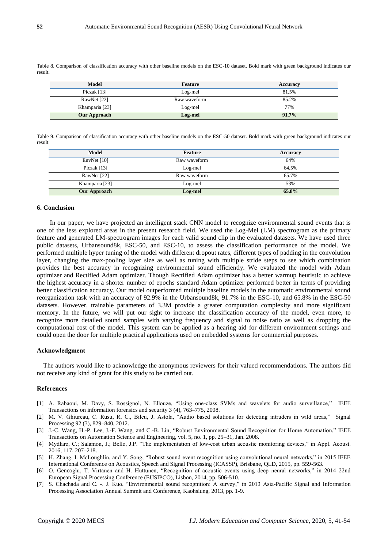Table 8. Comparison of classification accuracy with other baseline models on the ESC-10 dataset. Bold mark with green background indicates our result.

| <b>Model</b>        | Feature      | Accuracy |
|---------------------|--------------|----------|
| Piczak $[13]$       | Log-mel      | 81.5%    |
| RawNet [22]         | Raw waveform | 85.2%    |
| Khamparia [23]      | Log-mel      | 77%      |
| <b>Our Approach</b> | Log-mel      | 91.7%    |

Table 9. Comparison of classification accuracy with other baseline models on the ESC-50 dataset. Bold mark with green background indicates our result

| <b>Model</b>        | Feature      | Accuracy |
|---------------------|--------------|----------|
| EnvNet $[10]$       | Raw waveform | 64%      |
| Piczak [13]         | Log-mel      | 64.5%    |
| RawNet [22]         | Raw waveform | 65.7%    |
| Khamparia [23]      | Log-mel      | 53%      |
| <b>Our Approach</b> | Log-mel      | 65.8%    |

#### **6. Conclusion**

In our paper, we have projected an intelligent stack CNN model to recognize environmental sound events that is one of the less explored areas in the present research field. We used the Log-Mel (LM) spectrogram as the primary feature and generated LM-spectrogram images for each valid sound clip in the evaluated datasets. We have used three public datasets, Urbansound8k, ESC-50, and ESC-10, to assess the classification performance of the model. We performed multiple hyper tuning of the model with different dropout rates, different types of padding in the convolution layer, changing the max-pooling layer size as well as tuning with multiple stride steps to see which combination provides the best accuracy in recognizing environmental sound efficiently. We evaluated the model with Adam optimizer and Rectified Adam optimizer. Though Rectified Adam optimizer has a better warmup heuristic to achieve the highest accuracy in a shorter number of epochs standard Adam optimizer performed better in terms of providing better classification accuracy. Our model outperformed multiple baseline models in the automatic environmental sound reorganization task with an accuracy of 92.9% in the Urbansound8k, 91.7% in the ESC-10, and 65.8% in the ESC-50 datasets. However, trainable parameters of 3.3M provide a greater computation complexity and more significant memory. In the future, we will put our sight to increase the classification accuracy of the model, even more, to recognize more detailed sound samples with varying frequency and signal to noise ratio as well as dropping the computational cost of the model. This system can be applied as a hearing aid for different environment settings and could open the door for multiple practical applications used on embedded systems for commercial purposes.

## **Acknowledgment**

The authors would like to acknowledge the anonymous reviewers for their valued recommendations. The authors did not receive any kind of grant for this study to be carried out.

## **References**

- [1] A. Rabaoui, M. Davy, S. Rossignol, N. Ellouze, "Using one-class SVMs and wavelets for audio surveillance," IEEE Transactions on information forensics and security 3 (4), 763–775, 2008.
- [2] M. V. Ghiurcau, C. Rusu, R. C., Bilcu, J. Astola, "Audio based solutions for detecting intruders in wild areas," Signal Processing 92 (3), 829–840, 2012.
- [3] J.-C. Wang, H.-P. Lee, J.-F. Wang, and C.-B. Lin, "Robust Environmental Sound Recognition for Home Automation," IEEE Transactions on Automation Science and Engineering, vol. 5, no. 1, pp. 25–31, Jan. 2008.
- [4] Mydlarz, C.; Salamon, J.; Bello, J.P. "The implementation of low-cost urban acoustic monitoring devices," in Appl. Acoust. 2016, 117, 207–218.
- [5] H. Zhang, I. McLoughlin, and Y. Song, "Robust sound event recognition using convolutional neural networks," in 2015 IEEE International Conference on Acoustics, Speech and Signal Processing (ICASSP), Brisbane, QLD, 2015, pp. 559-563.
- [6] O. Gencoglu, T. Virtanen and H. Huttunen, "Recognition of acoustic events using deep neural networks," in 2014 22nd European Signal Processing Conference (EUSIPCO), Lisbon, 2014, pp. 506-510.
- [7] S. Chachada and C. -. J. Kuo, "Environmental sound recognition: A survey," in 2013 Asia-Pacific Signal and Information Processing Association Annual Summit and Conference, Kaohsiung, 2013, pp. 1-9.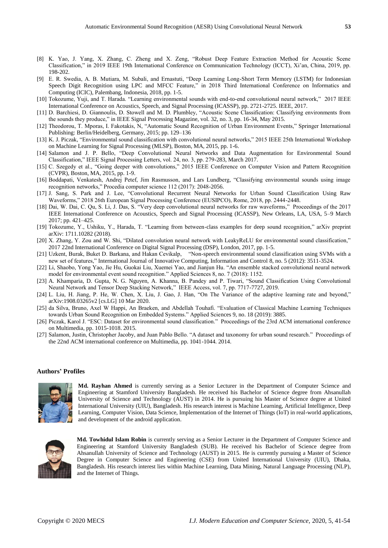- [8] K. Yao, J. Yang, X. Zhang, C. Zheng and X. Zeng, "Robust Deep Feature Extraction Method for Acoustic Scene Classification," in 2019 IEEE 19th International Conference on Communication Technology (ICCT), Xi'an, China, 2019, pp. 198-202.
- [9] E. R. Swedia, A. B. Mutiara, M. Subali, and Ernastuti, "Deep Learning Long-Short Term Memory (LSTM) for Indonesian Speech Digit Recognition using LPC and MFCC Feature," in 2018 Third International Conference on Informatics and Computing (ICIC), Palembang, Indonesia, 2018, pp. 1-5.
- [10] Tokozume, Yuji, and T. Harada. "Learning environmental sounds with end-to-end convolutional neural network," 2017 IEEE International Conference on Acoustics, Speech, and Signal Processing (ICASSP), pp. 2721-2725. IEEE, 2017.
- [11] D. Barchiesi, D. Giannoulis, D. Stowell and M. D. Plumbley, "Acoustic Scene Classification: Classifying environments from the sounds they produce," in IEEE Signal Processing Magazine, vol. 32, no. 3, pp. 16-34, May 2015.
- [12] Theodorou, T. Mporas, I. Fakotakis, N, "Automatic Sound Recognition of Urban Environment Events," Springer International Publishing: Berlin/Heidelberg, Germany, 2015; pp. 129–136
- [13] K. J. Piczak, "Environmental sound classification with convolutional neural networks," 2015 IEEE 25th International Workshop on Machine Learning for Signal Processing (MLSP), Boston, MA, 2015, pp. 1-6.
- [14] Salamon and J. P. Bello, "Deep Convolutional Neural Networks and Data Augmentation for Environmental Sound Classification," IEEE Signal Processing Letters, vol. 24, no. 3, pp. 279-283, March 2017.
- [15] C. Szegedy et al., "Going deeper with convolutions," 2015 IEEE Conference on Computer Vision and Pattern Recognition (CVPR), Boston, MA, 2015, pp. 1-9.
- [16] Boddapati, Venkatesh, Andrej Petef, Jim Rasmusson, and Lars Lundberg, "Classifying environmental sounds using image recognition networks," Procedia computer science 112 (2017): 2048-2056.
- [17] J. Sang, S. Park and J. Lee, "Convolutional Recurrent Neural Networks for Urban Sound Classification Using Raw Waveforms," 2018 26th European Signal Processing Conference (EUSIPCO), Rome, 2018, pp. 2444-2448.
- [18] Dai, W. Dai, C. Qu, S. Li, J. Das, S. "Very deep convolutional neural networks for raw waveforms," Proceedings of the 2017 IEEE International Conference on Acoustics, Speech and Signal Processing (ICASSP), New Orleans, LA, USA, 5–9 March 2017; pp. 421–425.
- [19] Tokozume, Y., Ushiku, Y., Harada, T. "Learning from between-class examples for deep sound recognition," arXiv preprint arXiv: 1711.10282 (2018).
- [20] X. Zhang, Y. Zou and W. Shi, "Dilated convolution neural network with LeakyReLU for environmental sound classification," 2017 22nd International Conference on Digital Signal Processing (DSP), London, 2017, pp. 1-5.
- [21] Uzkent, Burak, Buket D. Barkana, and Hakan Cevikalp, "Non-speech environmental sound classification using SVMs with a new set of features," International Journal of Innovative Computing, Information and Control 8, no. 5 (2012): 3511-3524.
- [22] Li, Shaobo, Yong Yao, Jie Hu, Guokai Liu, Xuemei Yao, and Jianjun Hu. "An ensemble stacked convolutional neural network model for environmental event sound recognition." Applied Sciences 8, no. 7 (2018): 1152.
- [23] A. Khamparia, D. Gupta, N. G. Nguyen, A. Khanna, B. Pandey and P. Tiwari, "Sound Classification Using Convolutional Neural Network and Tensor Deep Stacking Network," IEEE Access, vol. 7, pp. 7717-7727, 2019.
- [24] L. Liu, H. Jiang, P. He, W. Chen, X. Liu, J. Gao, J. Han, "On The Variance of the adaptive learning rate and beyond," arXiv:1908.03265v2 [cs.LG] 10 Mar 2020.
- [25] da Silva, Bruno, Axel W Happi, An Braeken, and Abdellah Touhafi. "Evaluation of Classical Machine Learning Techniques towards Urban Sound Recognition on Embedded Systems." Applied Sciences 9, no. 18 (2019): 3885.
- [26] Piczak, Karol J. "ESC: Dataset for environmental sound classification." Proceedings of the 23rd ACM international conference on Multimedia, pp. 1015-1018. 2015.
- [27] Salamon, Justin, Christopher Jacoby, and Juan Pablo Bello. "A dataset and taxonomy for urban sound research." Proceedings of the 22nd ACM international conference on Multimedia, pp. 1041-1044. 2014.

#### **Authors' Profiles**



**Md. Rayhan Ahmed** is currently serving as a Senior Lecturer in the Department of Computer Science and Engineering at Stamford University Bangladesh. He received his Bachelor of Science degree from Ahsanullah University of Science and Technology (AUST) in 2014. He is pursuing his Master of Science degree at United International University (UIU), Bangladesh. His research interest is Machine Learning, Artificial Intelligence, Deep Learning, Computer Vision, Data Science, Implementation of the Internet of Things (IoT) in real-world applications, and development of the android application.



**Md. Towhidul Islam Robin** is currently serving as a Senior Lecturer in the Department of Computer Science and Engineering at Stamford University Bangladesh (SUB). He received his Bachelor of Science degree from Ahsanullah University of Science and Technology (AUST) in 2015. He is currently pursuing a Master of Science Degree in Computer Science and Engineering (CSE) from United International University (UIU), Dhaka, Bangladesh. His research interest lies within Machine Learning, Data Mining, Natural Language Processing (NLP), and the Internet of Things.